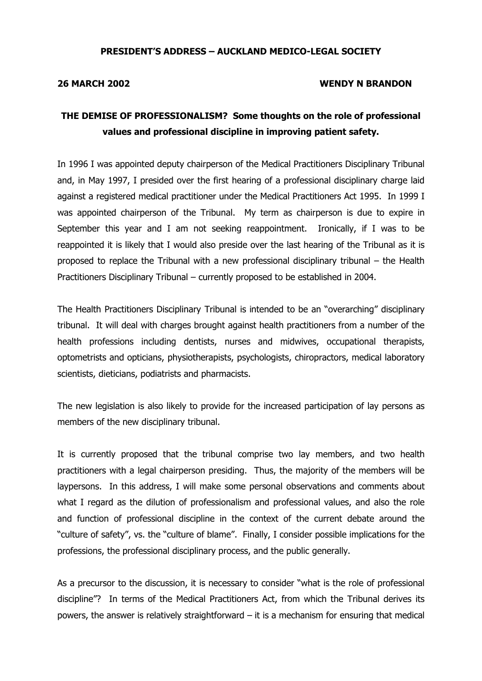# PRESIDENT'S ADDRESS – AUCKLAND MEDICO-LEGAL SOCIETY

### 26 MARCH 2002 WENDY N BRANDON

# THE DEMISE OF PROFESSIONALISM? Some thoughts on the role of professional values and professional discipline in improving patient safety.

In 1996 I was appointed deputy chairperson of the Medical Practitioners Disciplinary Tribunal and, in May 1997, I presided over the first hearing of a professional disciplinary charge laid against a registered medical practitioner under the Medical Practitioners Act 1995. In 1999 I was appointed chairperson of the Tribunal. My term as chairperson is due to expire in September this year and I am not seeking reappointment. Ironically, if I was to be reappointed it is likely that I would also preside over the last hearing of the Tribunal as it is proposed to replace the Tribunal with a new professional disciplinary tribunal – the Health Practitioners Disciplinary Tribunal – currently proposed to be established in 2004.

The Health Practitioners Disciplinary Tribunal is intended to be an "overarching" disciplinary tribunal. It will deal with charges brought against health practitioners from a number of the health professions including dentists, nurses and midwives, occupational therapists, optometrists and opticians, physiotherapists, psychologists, chiropractors, medical laboratory scientists, dieticians, podiatrists and pharmacists.

The new legislation is also likely to provide for the increased participation of lay persons as members of the new disciplinary tribunal.

It is currently proposed that the tribunal comprise two lay members, and two health practitioners with a legal chairperson presiding. Thus, the majority of the members will be laypersons. In this address, I will make some personal observations and comments about what I regard as the dilution of professionalism and professional values, and also the role and function of professional discipline in the context of the current debate around the "culture of safety", vs. the "culture of blame". Finally, I consider possible implications for the professions, the professional disciplinary process, and the public generally.

As a precursor to the discussion, it is necessary to consider "what is the role of professional discipline"? In terms of the Medical Practitioners Act, from which the Tribunal derives its powers, the answer is relatively straightforward – it is a mechanism for ensuring that medical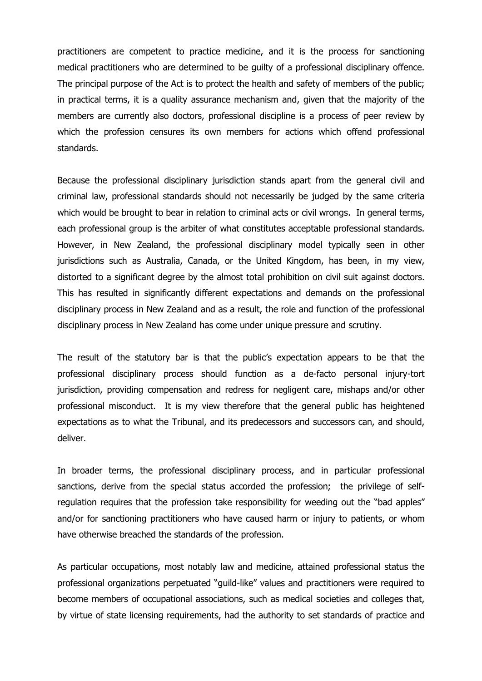practitioners are competent to practice medicine, and it is the process for sanctioning medical practitioners who are determined to be guilty of a professional disciplinary offence. The principal purpose of the Act is to protect the health and safety of members of the public; in practical terms, it is a quality assurance mechanism and, given that the majority of the members are currently also doctors, professional discipline is a process of peer review by which the profession censures its own members for actions which offend professional standards.

Because the professional disciplinary jurisdiction stands apart from the general civil and criminal law, professional standards should not necessarily be judged by the same criteria which would be brought to bear in relation to criminal acts or civil wrongs. In general terms, each professional group is the arbiter of what constitutes acceptable professional standards. However, in New Zealand, the professional disciplinary model typically seen in other jurisdictions such as Australia, Canada, or the United Kingdom, has been, in my view, distorted to a significant degree by the almost total prohibition on civil suit against doctors. This has resulted in significantly different expectations and demands on the professional disciplinary process in New Zealand and as a result, the role and function of the professional disciplinary process in New Zealand has come under unique pressure and scrutiny.

The result of the statutory bar is that the public's expectation appears to be that the professional disciplinary process should function as a de-facto personal injury-tort jurisdiction, providing compensation and redress for negligent care, mishaps and/or other professional misconduct. It is my view therefore that the general public has heightened expectations as to what the Tribunal, and its predecessors and successors can, and should, deliver.

In broader terms, the professional disciplinary process, and in particular professional sanctions, derive from the special status accorded the profession; the privilege of selfregulation requires that the profession take responsibility for weeding out the "bad apples" and/or for sanctioning practitioners who have caused harm or injury to patients, or whom have otherwise breached the standards of the profession.

As particular occupations, most notably law and medicine, attained professional status the professional organizations perpetuated "guild-like" values and practitioners were required to become members of occupational associations, such as medical societies and colleges that, by virtue of state licensing requirements, had the authority to set standards of practice and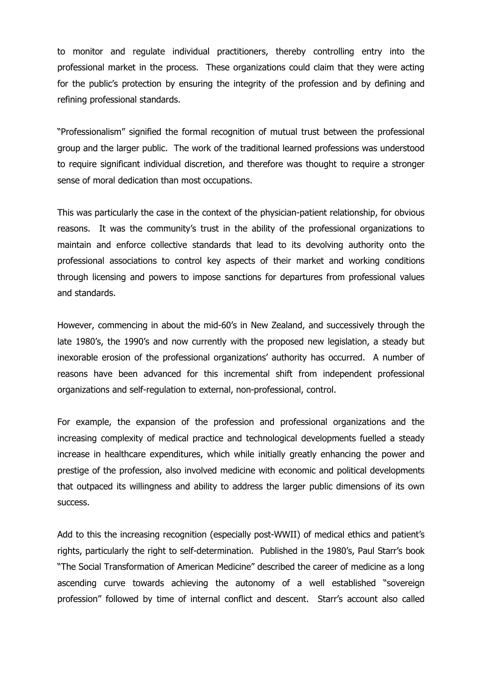to monitor and regulate individual practitioners, thereby controlling entry into the professional market in the process. These organizations could claim that they were acting for the public's protection by ensuring the integrity of the profession and by defining and refining professional standards.

"Professionalism" signified the formal recognition of mutual trust between the professional group and the larger public. The work of the traditional learned professions was understood to require significant individual discretion, and therefore was thought to require a stronger sense of moral dedication than most occupations.

This was particularly the case in the context of the physician-patient relationship, for obvious reasons. It was the community's trust in the ability of the professional organizations to maintain and enforce collective standards that lead to its devolving authority onto the professional associations to control key aspects of their market and working conditions through licensing and powers to impose sanctions for departures from professional values and standards.

However, commencing in about the mid-60's in New Zealand, and successively through the late 1980's, the 1990's and now currently with the proposed new legislation, a steady but inexorable erosion of the professional organizations' authority has occurred. A number of reasons have been advanced for this incremental shift from independent professional organizations and self-regulation to external, non-professional, control.

For example, the expansion of the profession and professional organizations and the increasing complexity of medical practice and technological developments fuelled a steady increase in healthcare expenditures, which while initially greatly enhancing the power and prestige of the profession, also involved medicine with economic and political developments that outpaced its willingness and ability to address the larger public dimensions of its own success.

Add to this the increasing recognition (especially post-WWII) of medical ethics and patient's rights, particularly the right to self-determination. Published in the 1980's, Paul Starr's book "The Social Transformation of American Medicine" described the career of medicine as a long ascending curve towards achieving the autonomy of a well established "sovereign profession" followed by time of internal conflict and descent. Starr's account also called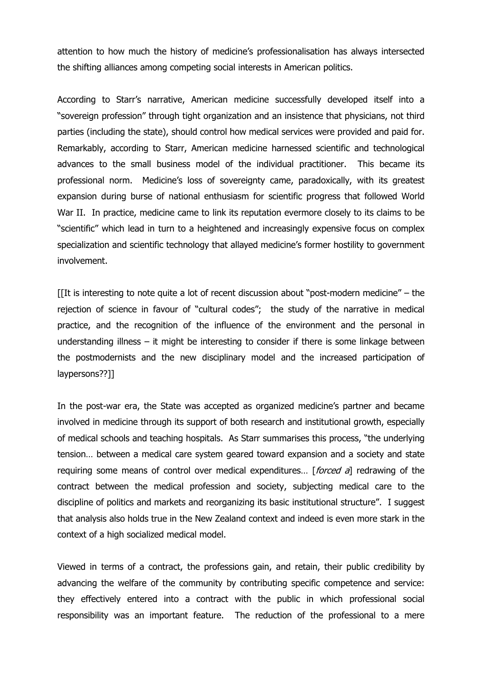attention to how much the history of medicine's professionalisation has always intersected the shifting alliances among competing social interests in American politics.

According to Starr's narrative, American medicine successfully developed itself into a "sovereign profession" through tight organization and an insistence that physicians, not third parties (including the state), should control how medical services were provided and paid for. Remarkably, according to Starr, American medicine harnessed scientific and technological advances to the small business model of the individual practitioner. This became its professional norm. Medicine's loss of sovereignty came, paradoxically, with its greatest expansion during burse of national enthusiasm for scientific progress that followed World War II. In practice, medicine came to link its reputation evermore closely to its claims to be "scientific" which lead in turn to a heightened and increasingly expensive focus on complex specialization and scientific technology that allayed medicine's former hostility to government involvement.

 $[[$ It is interesting to note quite a lot of recent discussion about "post-modern medicine" – the rejection of science in favour of "cultural codes"; the study of the narrative in medical practice, and the recognition of the influence of the environment and the personal in understanding illness – it might be interesting to consider if there is some linkage between the postmodernists and the new disciplinary model and the increased participation of laypersons??]]

In the post-war era, the State was accepted as organized medicine's partner and became involved in medicine through its support of both research and institutional growth, especially of medical schools and teaching hospitals. As Starr summarises this process, "the underlying tension… between a medical care system geared toward expansion and a society and state requiring some means of control over medical expenditures... [*forced a*] redrawing of the contract between the medical profession and society, subjecting medical care to the discipline of politics and markets and reorganizing its basic institutional structure". I suggest that analysis also holds true in the New Zealand context and indeed is even more stark in the context of a high socialized medical model.

Viewed in terms of a contract, the professions gain, and retain, their public credibility by advancing the welfare of the community by contributing specific competence and service: they effectively entered into a contract with the public in which professional social responsibility was an important feature. The reduction of the professional to a mere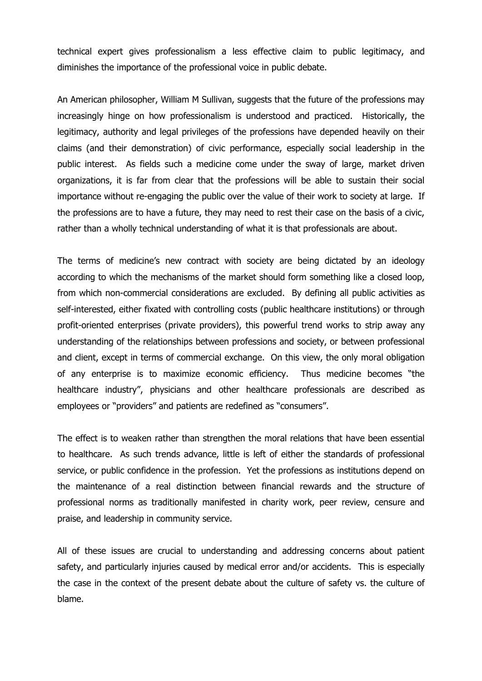technical expert gives professionalism a less effective claim to public legitimacy, and diminishes the importance of the professional voice in public debate.

An American philosopher, William M Sullivan, suggests that the future of the professions may increasingly hinge on how professionalism is understood and practiced. Historically, the legitimacy, authority and legal privileges of the professions have depended heavily on their claims (and their demonstration) of civic performance, especially social leadership in the public interest. As fields such a medicine come under the sway of large, market driven organizations, it is far from clear that the professions will be able to sustain their social importance without re-engaging the public over the value of their work to society at large. If the professions are to have a future, they may need to rest their case on the basis of a civic, rather than a wholly technical understanding of what it is that professionals are about.

The terms of medicine's new contract with society are being dictated by an ideology according to which the mechanisms of the market should form something like a closed loop, from which non-commercial considerations are excluded. By defining all public activities as self-interested, either fixated with controlling costs (public healthcare institutions) or through profit-oriented enterprises (private providers), this powerful trend works to strip away any understanding of the relationships between professions and society, or between professional and client, except in terms of commercial exchange. On this view, the only moral obligation of any enterprise is to maximize economic efficiency. Thus medicine becomes "the healthcare industry", physicians and other healthcare professionals are described as employees or "providers" and patients are redefined as "consumers".

The effect is to weaken rather than strengthen the moral relations that have been essential to healthcare. As such trends advance, little is left of either the standards of professional service, or public confidence in the profession. Yet the professions as institutions depend on the maintenance of a real distinction between financial rewards and the structure of professional norms as traditionally manifested in charity work, peer review, censure and praise, and leadership in community service.

All of these issues are crucial to understanding and addressing concerns about patient safety, and particularly injuries caused by medical error and/or accidents. This is especially the case in the context of the present debate about the culture of safety vs. the culture of blame.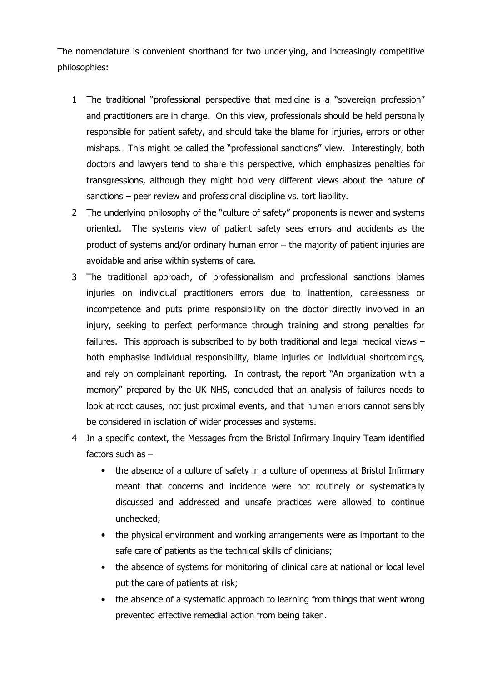The nomenclature is convenient shorthand for two underlying, and increasingly competitive philosophies:

- 1 The traditional "professional perspective that medicine is a "sovereign profession" and practitioners are in charge. On this view, professionals should be held personally responsible for patient safety, and should take the blame for injuries, errors or other mishaps. This might be called the "professional sanctions" view. Interestingly, both doctors and lawyers tend to share this perspective, which emphasizes penalties for transgressions, although they might hold very different views about the nature of sanctions – peer review and professional discipline vs. tort liability.
- 2 The underlying philosophy of the "culture of safety" proponents is newer and systems oriented. The systems view of patient safety sees errors and accidents as the product of systems and/or ordinary human error – the majority of patient injuries are avoidable and arise within systems of care.
- 3 The traditional approach, of professionalism and professional sanctions blames injuries on individual practitioners errors due to inattention, carelessness or incompetence and puts prime responsibility on the doctor directly involved in an injury, seeking to perfect performance through training and strong penalties for failures. This approach is subscribed to by both traditional and legal medical views – both emphasise individual responsibility, blame injuries on individual shortcomings, and rely on complainant reporting. In contrast, the report "An organization with a memory" prepared by the UK NHS, concluded that an analysis of failures needs to look at root causes, not just proximal events, and that human errors cannot sensibly be considered in isolation of wider processes and systems.
- 4 In a specific context, the Messages from the Bristol Infirmary Inquiry Team identified factors such as –
	- the absence of a culture of safety in a culture of openness at Bristol Infirmary meant that concerns and incidence were not routinely or systematically discussed and addressed and unsafe practices were allowed to continue unchecked;
	- the physical environment and working arrangements were as important to the safe care of patients as the technical skills of clinicians;
	- the absence of systems for monitoring of clinical care at national or local level put the care of patients at risk;
	- the absence of a systematic approach to learning from things that went wrong prevented effective remedial action from being taken.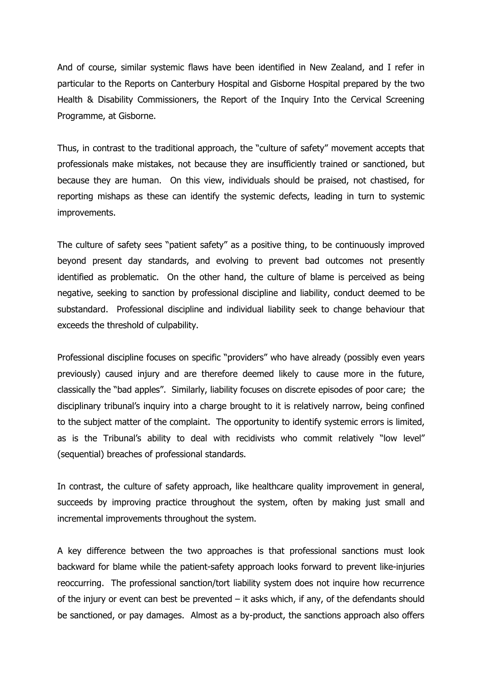And of course, similar systemic flaws have been identified in New Zealand, and I refer in particular to the Reports on Canterbury Hospital and Gisborne Hospital prepared by the two Health & Disability Commissioners, the Report of the Inquiry Into the Cervical Screening Programme, at Gisborne.

Thus, in contrast to the traditional approach, the "culture of safety" movement accepts that professionals make mistakes, not because they are insufficiently trained or sanctioned, but because they are human. On this view, individuals should be praised, not chastised, for reporting mishaps as these can identify the systemic defects, leading in turn to systemic improvements.

The culture of safety sees "patient safety" as a positive thing, to be continuously improved beyond present day standards, and evolving to prevent bad outcomes not presently identified as problematic. On the other hand, the culture of blame is perceived as being negative, seeking to sanction by professional discipline and liability, conduct deemed to be substandard. Professional discipline and individual liability seek to change behaviour that exceeds the threshold of culpability.

Professional discipline focuses on specific "providers" who have already (possibly even years previously) caused injury and are therefore deemed likely to cause more in the future, classically the "bad apples". Similarly, liability focuses on discrete episodes of poor care; the disciplinary tribunal's inquiry into a charge brought to it is relatively narrow, being confined to the subject matter of the complaint. The opportunity to identify systemic errors is limited, as is the Tribunal's ability to deal with recidivists who commit relatively "low level" (sequential) breaches of professional standards.

In contrast, the culture of safety approach, like healthcare quality improvement in general, succeeds by improving practice throughout the system, often by making just small and incremental improvements throughout the system.

A key difference between the two approaches is that professional sanctions must look backward for blame while the patient-safety approach looks forward to prevent like-injuries reoccurring. The professional sanction/tort liability system does not inquire how recurrence of the injury or event can best be prevented  $-$  it asks which, if any, of the defendants should be sanctioned, or pay damages. Almost as a by-product, the sanctions approach also offers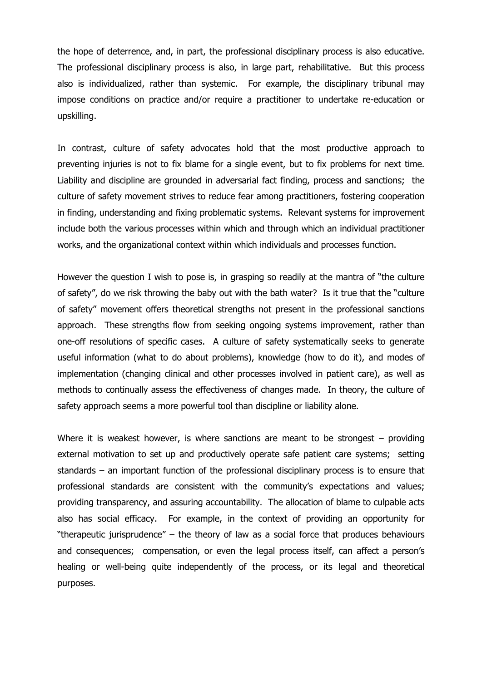the hope of deterrence, and, in part, the professional disciplinary process is also educative. The professional disciplinary process is also, in large part, rehabilitative. But this process also is individualized, rather than systemic. For example, the disciplinary tribunal may impose conditions on practice and/or require a practitioner to undertake re-education or upskilling.

In contrast, culture of safety advocates hold that the most productive approach to preventing injuries is not to fix blame for a single event, but to fix problems for next time. Liability and discipline are grounded in adversarial fact finding, process and sanctions; the culture of safety movement strives to reduce fear among practitioners, fostering cooperation in finding, understanding and fixing problematic systems. Relevant systems for improvement include both the various processes within which and through which an individual practitioner works, and the organizational context within which individuals and processes function.

However the question I wish to pose is, in grasping so readily at the mantra of "the culture of safety", do we risk throwing the baby out with the bath water? Is it true that the "culture of safety" movement offers theoretical strengths not present in the professional sanctions approach. These strengths flow from seeking ongoing systems improvement, rather than one-off resolutions of specific cases. A culture of safety systematically seeks to generate useful information (what to do about problems), knowledge (how to do it), and modes of implementation (changing clinical and other processes involved in patient care), as well as methods to continually assess the effectiveness of changes made. In theory, the culture of safety approach seems a more powerful tool than discipline or liability alone.

Where it is weakest however, is where sanctions are meant to be strongest  $-$  providing external motivation to set up and productively operate safe patient care systems; setting standards – an important function of the professional disciplinary process is to ensure that professional standards are consistent with the community's expectations and values; providing transparency, and assuring accountability. The allocation of blame to culpable acts also has social efficacy. For example, in the context of providing an opportunity for "therapeutic jurisprudence" – the theory of law as a social force that produces behaviours and consequences; compensation, or even the legal process itself, can affect a person's healing or well-being quite independently of the process, or its legal and theoretical purposes.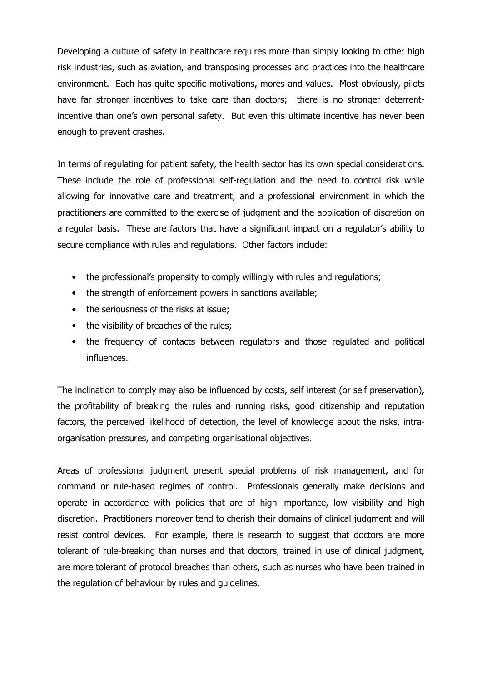Developing a culture of safety in healthcare requires more than simply looking to other high risk industries, such as aviation, and transposing processes and practices into the healthcare environment. Each has quite specific motivations, mores and values. Most obviously, pilots have far stronger incentives to take care than doctors; there is no stronger deterrentincentive than one's own personal safety. But even this ultimate incentive has never been enough to prevent crashes.

In terms of regulating for patient safety, the health sector has its own special considerations. These include the role of professional self-regulation and the need to control risk while allowing for innovative care and treatment, and a professional environment in which the practitioners are committed to the exercise of judgment and the application of discretion on a regular basis. These are factors that have a significant impact on a regulator's ability to secure compliance with rules and regulations. Other factors include:

- the professional's propensity to comply willingly with rules and regulations;
- the strength of enforcement powers in sanctions available;
- the seriousness of the risks at issue;
- the visibility of breaches of the rules;
- the frequency of contacts between regulators and those regulated and political influences.

The inclination to comply may also be influenced by costs, self interest (or self preservation), the profitability of breaking the rules and running risks, good citizenship and reputation factors, the perceived likelihood of detection, the level of knowledge about the risks, intraorganisation pressures, and competing organisational objectives.

Areas of professional judgment present special problems of risk management, and for command or rule-based regimes of control. Professionals generally make decisions and operate in accordance with policies that are of high importance, low visibility and high discretion. Practitioners moreover tend to cherish their domains of clinical judgment and will resist control devices. For example, there is research to suggest that doctors are more tolerant of rule-breaking than nurses and that doctors, trained in use of clinical judgment, are more tolerant of protocol breaches than others, such as nurses who have been trained in the regulation of behaviour by rules and guidelines.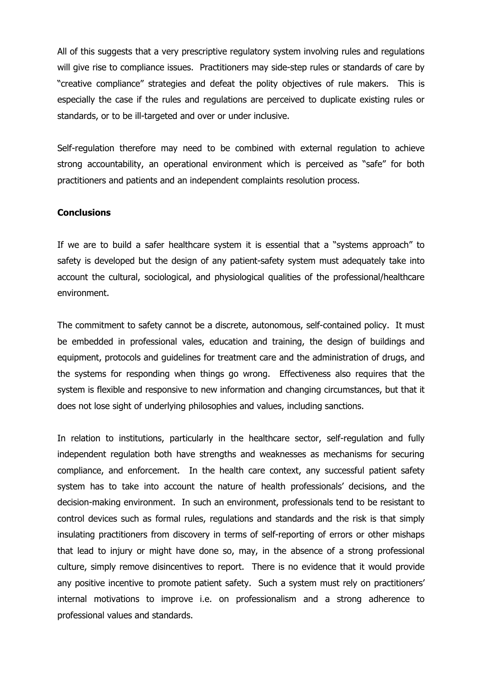All of this suggests that a very prescriptive regulatory system involving rules and regulations will give rise to compliance issues. Practitioners may side-step rules or standards of care by "creative compliance" strategies and defeat the polity objectives of rule makers. This is especially the case if the rules and regulations are perceived to duplicate existing rules or standards, or to be ill-targeted and over or under inclusive.

Self-regulation therefore may need to be combined with external regulation to achieve strong accountability, an operational environment which is perceived as "safe" for both practitioners and patients and an independent complaints resolution process.

## **Conclusions**

If we are to build a safer healthcare system it is essential that a "systems approach" to safety is developed but the design of any patient-safety system must adequately take into account the cultural, sociological, and physiological qualities of the professional/healthcare environment.

The commitment to safety cannot be a discrete, autonomous, self-contained policy. It must be embedded in professional vales, education and training, the design of buildings and equipment, protocols and guidelines for treatment care and the administration of drugs, and the systems for responding when things go wrong. Effectiveness also requires that the system is flexible and responsive to new information and changing circumstances, but that it does not lose sight of underlying philosophies and values, including sanctions.

In relation to institutions, particularly in the healthcare sector, self-regulation and fully independent regulation both have strengths and weaknesses as mechanisms for securing compliance, and enforcement. In the health care context, any successful patient safety system has to take into account the nature of health professionals' decisions, and the decision-making environment. In such an environment, professionals tend to be resistant to control devices such as formal rules, regulations and standards and the risk is that simply insulating practitioners from discovery in terms of self-reporting of errors or other mishaps that lead to injury or might have done so, may, in the absence of a strong professional culture, simply remove disincentives to report. There is no evidence that it would provide any positive incentive to promote patient safety. Such a system must rely on practitioners' internal motivations to improve i.e. on professionalism and a strong adherence to professional values and standards.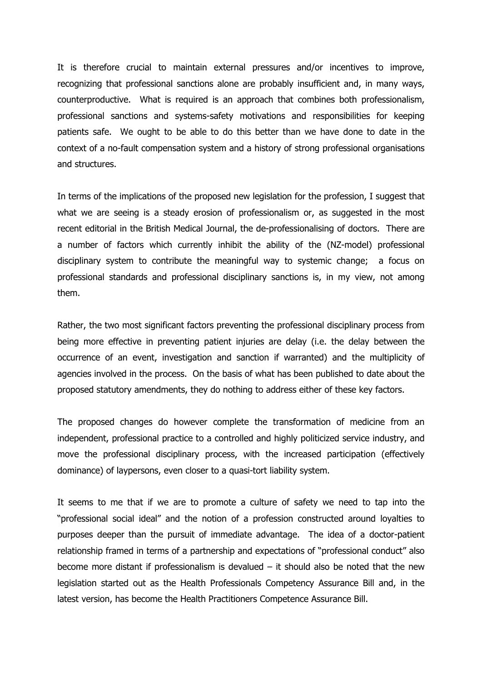It is therefore crucial to maintain external pressures and/or incentives to improve, recognizing that professional sanctions alone are probably insufficient and, in many ways, counterproductive. What is required is an approach that combines both professionalism, professional sanctions and systems-safety motivations and responsibilities for keeping patients safe. We ought to be able to do this better than we have done to date in the context of a no-fault compensation system and a history of strong professional organisations and structures.

In terms of the implications of the proposed new legislation for the profession, I suggest that what we are seeing is a steady erosion of professionalism or, as suggested in the most recent editorial in the British Medical Journal, the de-professionalising of doctors. There are a number of factors which currently inhibit the ability of the (NZ-model) professional disciplinary system to contribute the meaningful way to systemic change; a focus on professional standards and professional disciplinary sanctions is, in my view, not among them.

Rather, the two most significant factors preventing the professional disciplinary process from being more effective in preventing patient injuries are delay (i.e. the delay between the occurrence of an event, investigation and sanction if warranted) and the multiplicity of agencies involved in the process. On the basis of what has been published to date about the proposed statutory amendments, they do nothing to address either of these key factors.

The proposed changes do however complete the transformation of medicine from an independent, professional practice to a controlled and highly politicized service industry, and move the professional disciplinary process, with the increased participation (effectively dominance) of laypersons, even closer to a quasi-tort liability system.

It seems to me that if we are to promote a culture of safety we need to tap into the "professional social ideal" and the notion of a profession constructed around loyalties to purposes deeper than the pursuit of immediate advantage. The idea of a doctor-patient relationship framed in terms of a partnership and expectations of "professional conduct" also become more distant if professionalism is devalued  $-$  it should also be noted that the new legislation started out as the Health Professionals Competency Assurance Bill and, in the latest version, has become the Health Practitioners Competence Assurance Bill.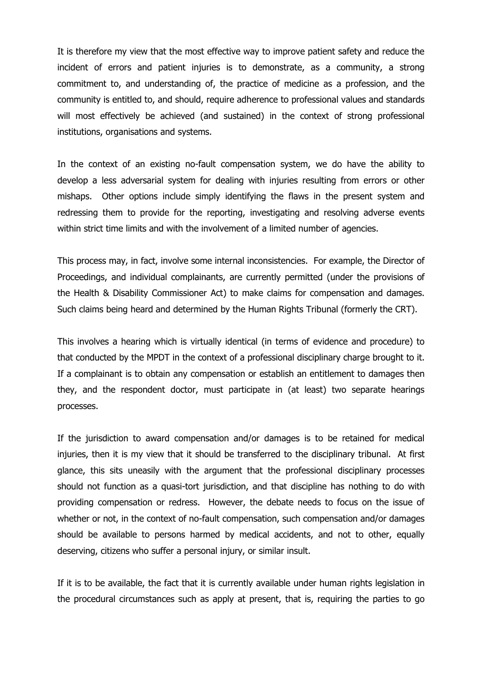It is therefore my view that the most effective way to improve patient safety and reduce the incident of errors and patient injuries is to demonstrate, as a community, a strong commitment to, and understanding of, the practice of medicine as a profession, and the community is entitled to, and should, require adherence to professional values and standards will most effectively be achieved (and sustained) in the context of strong professional institutions, organisations and systems.

In the context of an existing no-fault compensation system, we do have the ability to develop a less adversarial system for dealing with injuries resulting from errors or other mishaps. Other options include simply identifying the flaws in the present system and redressing them to provide for the reporting, investigating and resolving adverse events within strict time limits and with the involvement of a limited number of agencies.

This process may, in fact, involve some internal inconsistencies. For example, the Director of Proceedings, and individual complainants, are currently permitted (under the provisions of the Health & Disability Commissioner Act) to make claims for compensation and damages. Such claims being heard and determined by the Human Rights Tribunal (formerly the CRT).

This involves a hearing which is virtually identical (in terms of evidence and procedure) to that conducted by the MPDT in the context of a professional disciplinary charge brought to it. If a complainant is to obtain any compensation or establish an entitlement to damages then they, and the respondent doctor, must participate in (at least) two separate hearings processes.

If the jurisdiction to award compensation and/or damages is to be retained for medical injuries, then it is my view that it should be transferred to the disciplinary tribunal. At first glance, this sits uneasily with the argument that the professional disciplinary processes should not function as a quasi-tort jurisdiction, and that discipline has nothing to do with providing compensation or redress. However, the debate needs to focus on the issue of whether or not, in the context of no-fault compensation, such compensation and/or damages should be available to persons harmed by medical accidents, and not to other, equally deserving, citizens who suffer a personal injury, or similar insult.

If it is to be available, the fact that it is currently available under human rights legislation in the procedural circumstances such as apply at present, that is, requiring the parties to go